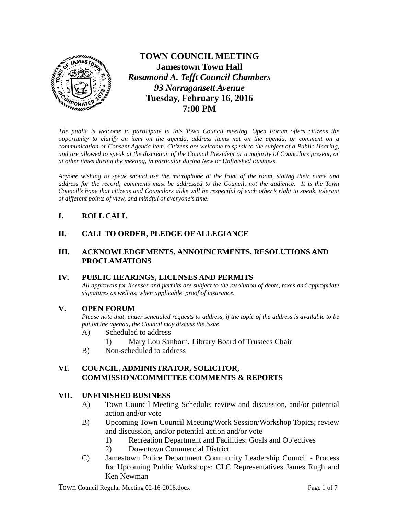

**TOWN COUNCIL MEETING Jamestown Town Hall** *Rosamond A. Tefft Council Chambers 93 Narragansett Avenue* **Tuesday, February 16, 2016 7:00 PM**

*The public is welcome to participate in this Town Council meeting. Open Forum offers citizens the opportunity to clarify an item on the agenda, address items not on the agenda, or comment on a communication or Consent Agenda item. Citizens are welcome to speak to the subject of a Public Hearing, and are allowed to speak at the discretion of the Council President or a majority of Councilors present, or at other times during the meeting, in particular during New or Unfinished Business.* 

*Anyone wishing to speak should use the microphone at the front of the room, stating their name and address for the record; comments must be addressed to the Council, not the audience. It is the Town Council's hope that citizens and Councilors alike will be respectful of each other's right to speak, tolerant of different points of view, and mindful of everyone's time.*

## **I. ROLL CALL**

### **II. CALL TO ORDER, PLEDGE OF ALLEGIANCE**

#### **III. ACKNOWLEDGEMENTS, ANNOUNCEMENTS, RESOLUTIONS AND PROCLAMATIONS**

#### **IV. PUBLIC HEARINGS, LICENSES AND PERMITS**

*All approvals for licenses and permits are subject to the resolution of debts, taxes and appropriate signatures as well as, when applicable, proof of insurance.*

#### **V. OPEN FORUM**

*Please note that, under scheduled requests to address, if the topic of the address is available to be put on the agenda, the Council may discuss the issue*

- A) Scheduled to address
	- 1) Mary Lou Sanborn, Library Board of Trustees Chair
- B) Non-scheduled to address

### **VI. COUNCIL, ADMINISTRATOR, SOLICITOR, COMMISSION/COMMITTEE COMMENTS & REPORTS**

### **VII. UNFINISHED BUSINESS**

- A) Town Council Meeting Schedule; review and discussion, and/or potential action and/or vote
- B) Upcoming Town Council Meeting/Work Session/Workshop Topics; review and discussion, and/or potential action and/or vote
	- 1) Recreation Department and Facilities: Goals and Objectives
	- 2) Downtown Commercial District
- C) Jamestown Police Department Community Leadership Council Process for Upcoming Public Workshops: CLC Representatives James Rugh and Ken Newman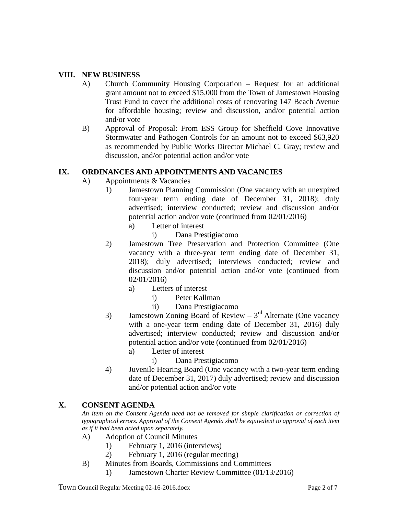#### **VIII. NEW BUSINESS**

- A) Church Community Housing Corporation Request for an additional grant amount not to exceed \$15,000 from the Town of Jamestown Housing Trust Fund to cover the additional costs of renovating 147 Beach Avenue for affordable housing; review and discussion, and/or potential action and/or vote
- B) Approval of Proposal: From ESS Group for Sheffield Cove Innovative Stormwater and Pathogen Controls for an amount not to exceed \$63,920 as recommended by Public Works Director Michael C. Gray; review and discussion, and/or potential action and/or vote

#### **IX. ORDINANCES AND APPOINTMENTS AND VACANCIES**

- A) Appointments & Vacancies
	- 1) Jamestown Planning Commission (One vacancy with an unexpired four-year term ending date of December 31, 2018); duly advertised; interview conducted; review and discussion and/or potential action and/or vote (continued from 02/01/2016)
		- a) Letter of interest
			- i) Dana Prestigiacomo
	- 2) Jamestown Tree Preservation and Protection Committee (One vacancy with a three-year term ending date of December 31, 2018); duly advertised; interviews conducted; review and discussion and/or potential action and/or vote (continued from 02/01/2016)
		- a) Letters of interest
			- i) Peter Kallman
				- ii) Dana Prestigiacomo
	- 3) Jamestown Zoning Board of Review  $3<sup>rd</sup>$  Alternate (One vacancy with a one-year term ending date of December 31, 2016) duly advertised; interview conducted; review and discussion and/or potential action and/or vote (continued from 02/01/2016)
		- a) Letter of interest
			- i) Dana Prestigiacomo
	- 4) Juvenile Hearing Board (One vacancy with a two-year term ending date of December 31, 2017) duly advertised; review and discussion and/or potential action and/or vote

## **X. CONSENT AGENDA**

*An item on the Consent Agenda need not be removed for simple clarification or correction of typographical errors. Approval of the Consent Agenda shall be equivalent to approval of each item as if it had been acted upon separately.*

- A) Adoption of Council Minutes
	- 1) February 1, 2016 (interviews)
	- 2) February 1, 2016 (regular meeting)
- B) Minutes from Boards, Commissions and Committees
	- 1) Jamestown Charter Review Committee (01/13/2016)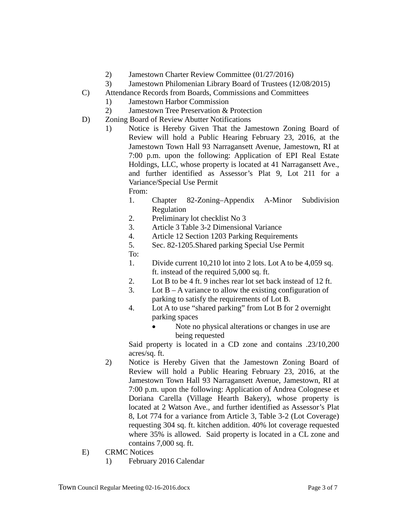- 2) Jamestown Charter Review Committee (01/27/2016)
- 3) Jamestown Philomenian Library Board of Trustees (12/08/2015)
- C) Attendance Records from Boards, Commissions and Committees
	- 1) Jamestown Harbor Commission
	- 2) Jamestown Tree Preservation & Protection
- D) Zoning Board of Review Abutter Notifications
	- 1) Notice is Hereby Given That the Jamestown Zoning Board of Review will hold a Public Hearing February 23, 2016, at the Jamestown Town Hall 93 Narragansett Avenue, Jamestown, RI at 7:00 p.m. upon the following: Application of EPI Real Estate Holdings, LLC, whose property is located at 41 Narragansett Ave., and further identified as Assessor's Plat 9, Lot 211 for a Variance/Special Use Permit
		- From:
		- 1. Chapter 82-Zoning–Appendix A-Minor Subdivision Regulation
		- 2. Preliminary lot checklist No 3
		- 3. Article 3 Table 3-2 Dimensional Variance
		- 4. Article 12 Section 1203 Parking Requirements
		- 5. Sec. 82-1205.Shared parking Special Use Permit
		- To:
		- 1. Divide current 10,210 lot into 2 lots. Lot A to be 4,059 sq. ft. instead of the required 5,000 sq. ft.
		- 2. Lot B to be 4 ft. 9 inches rear lot set back instead of 12 ft.
		- 3. Lot  $B A$  variance to allow the existing configuration of parking to satisfy the requirements of Lot B.
		- 4. Lot A to use "shared parking" from Lot B for 2 overnight parking spaces
			- Note no physical alterations or changes in use are being requested

Said property is located in a CD zone and contains .23/10,200 acres/sq. ft.

- 2) Notice is Hereby Given that the Jamestown Zoning Board of Review will hold a Public Hearing February 23, 2016, at the Jamestown Town Hall 93 Narragansett Avenue, Jamestown, RI at 7:00 p.m. upon the following: Application of Andrea Colognese et Doriana Carella (Village Hearth Bakery), whose property is located at 2 Watson Ave., and further identified as Assessor's Plat 8, Lot 774 for a variance from Article 3, Table 3-2 (Lot Coverage) requesting 304 sq. ft. kitchen addition. 40% lot coverage requested where 35% is allowed. Said property is located in a CL zone and contains 7,000 sq. ft.
- E) CRMC Notices
	- 1) February 2016 Calendar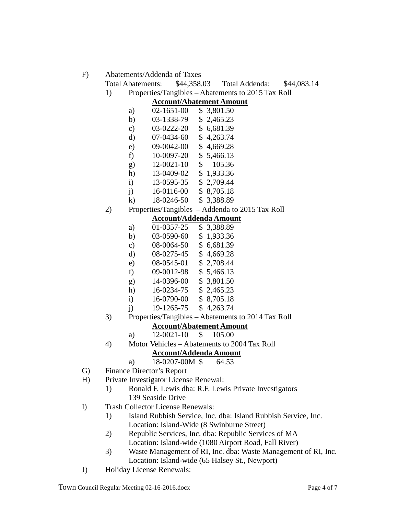F) Abatements/Addenda of Taxes

- Total Abatements: \$44,358.03 Total Addenda: \$44,083.14
- 1) Properties/Tangibles Abatements to 2015 Tax Roll

#### **Account/Abatement Amount**

| a)            | 02-1651-00 | \$ 3,801.50 |
|---------------|------------|-------------|
| b)            | 03-1338-79 | \$2,465.23  |
| $\mathbf{c})$ | 03-0222-20 | \$6,681.39  |
| d)            | 07-0434-60 | \$4,263.74  |
| e)            | 09-0042-00 | \$4,669.28  |
| f)            | 10-0097-20 | \$5,466.13  |
| g)            | 12-0021-10 | \$105.36    |
| h)            | 13-0409-02 | \$1,933.36  |
| $\mathbf{i}$  | 13-0595-35 | \$2,709.44  |
| $\mathbf{i}$  | 16-0116-00 | \$8,705.18  |
|               |            |             |

- k) 18-0246-50 \$ 3,388.89
- 2) Properties/Tangibles Addenda to 2015 Tax Roll

## **Account/Addenda Amount**

| a)         | 01-0357-25 | \$3,388.89 |
|------------|------------|------------|
| b)         | 03-0590-60 | \$1,933.36 |
| c)         | 08-0064-50 | \$6,681.39 |
| d)         | 08-0275-45 | \$4,669.28 |
| e)         | 08-0545-01 | \$2,708.44 |
| f)         | 09-0012-98 | \$5,466.13 |
| $\sigma$ ) | 14-0396-00 | \$380150   |

- g)  $14-0396-00 \rightarrow 3,801.50$
- h) 16-0234-75 \$ 2,465.23
- i) 16-0790-00 \$ 8,705.18
- $j$  19-1265-75 \$ 4,263.74
- 3) Properties/Tangibles Abatements to 2014 Tax Roll

# **Account/Abatement Amount**

- a) 12-0021-10 \$ 105.00
- 4) Motor Vehicles Abatements to 2004 Tax Roll

## **Account/Addenda Amount**

- a) 18-0207-00M \$ 64.53
- G) Finance Director's Report
- H) Private Investigator License Renewal:
	- 1) Ronald F. Lewis dba: R.F. Lewis Private Investigators 139 Seaside Drive
- I) Trash Collector License Renewals:
	- 1) Island Rubbish Service, Inc. dba: Island Rubbish Service, Inc. Location: Island-Wide (8 Swinburne Street)
	- 2) Republic Services, Inc. dba: Republic Services of MA Location: Island-wide (1080 Airport Road, Fall River)
	- 3) Waste Management of RI, Inc. dba: Waste Management of RI, Inc. Location: Island-wide (65 Halsey St., Newport)
- J) Holiday License Renewals: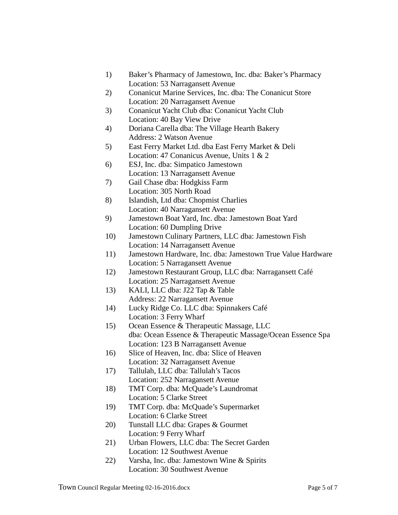- 1) Baker's Pharmacy of Jamestown, Inc. dba: Baker's Pharmacy Location: 53 Narragansett Avenue
- 2) Conanicut Marine Services, Inc. dba: The Conanicut Store Location: 20 Narragansett Avenue
- 3) Conanicut Yacht Club dba: Conanicut Yacht Club Location: 40 Bay View Drive
- 4) Doriana Carella dba: The Village Hearth Bakery Address: 2 Watson Avenue
- 5) East Ferry Market Ltd. dba East Ferry Market & Deli Location: 47 Conanicus Avenue, Units 1 & 2
- 6) ESJ, Inc. dba: Simpatico Jamestown Location: 13 Narragansett Avenue
- 7) Gail Chase dba: Hodgkiss Farm Location: 305 North Road
- 8) Islandish, Ltd dba: Chopmist Charlies Location: 40 Narragansett Avenue
- 9) Jamestown Boat Yard, Inc. dba: Jamestown Boat Yard Location: 60 Dumpling Drive
- 10) Jamestown Culinary Partners, LLC dba: Jamestown Fish Location: 14 Narragansett Avenue
- 11) Jamestown Hardware, Inc. dba: Jamestown True Value Hardware Location: 5 Narragansett Avenue
- 12) Jamestown Restaurant Group, LLC dba: Narragansett Café Location: 25 Narragansett Avenue
- 13) KALI, LLC dba: J22 Tap & Table Address: 22 Narragansett Avenue
- 14) Lucky Ridge Co. LLC dba: Spinnakers Café Location: 3 Ferry Wharf
- 15) Ocean Essence & Therapeutic Massage, LLC dba: Ocean Essence & Therapeutic Massage/Ocean Essence Spa Location: 123 B Narragansett Avenue
- 16) Slice of Heaven, Inc. dba: Slice of Heaven Location: 32 Narragansett Avenue
- 17) Tallulah, LLC dba: Tallulah's Tacos Location: 252 Narragansett Avenue
- 18) TMT Corp. dba: McQuade's Laundromat Location: 5 Clarke Street
- 19) TMT Corp. dba: McQuade's Supermarket Location: 6 Clarke Street
- 20) Tunstall LLC dba: Grapes & Gourmet Location: 9 Ferry Wharf
- 21) Urban Flowers, LLC dba: The Secret Garden Location: 12 Southwest Avenue
- 22) Varsha, Inc. dba: Jamestown Wine & Spirits Location: 30 Southwest Avenue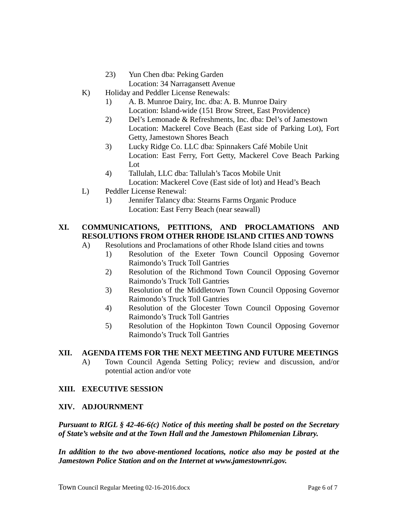- 23) Yun Chen dba: Peking Garden
- Location: 34 Narragansett Avenue
- K) Holiday and Peddler License Renewals:
	- 1) A. B. Munroe Dairy, Inc. dba: A. B. Munroe Dairy Location: Island-wide (151 Brow Street, East Providence)
	- 2) Del's Lemonade & Refreshments, Inc. dba: Del's of Jamestown Location: Mackerel Cove Beach (East side of Parking Lot), Fort Getty, Jamestown Shores Beach
	- 3) Lucky Ridge Co. LLC dba: Spinnakers Café Mobile Unit Location: East Ferry, Fort Getty, Mackerel Cove Beach Parking Lot
	- 4) Tallulah, LLC dba: Tallulah's Tacos Mobile Unit Location: Mackerel Cove (East side of lot) and Head's Beach
- L) Peddler License Renewal:
	- 1) Jennifer Talancy dba: Stearns Farms Organic Produce Location: East Ferry Beach (near seawall)

# **XI. COMMUNICATIONS, PETITIONS, AND PROCLAMATIONS AND RESOLUTIONS FROM OTHER RHODE ISLAND CITIES AND TOWNS**

- A) Resolutions and Proclamations of other Rhode Island cities and towns
	- 1) Resolution of the Exeter Town Council Opposing Governor Raimondo's Truck Toll Gantries
	- 2) Resolution of the Richmond Town Council Opposing Governor Raimondo's Truck Toll Gantries
	- 3) Resolution of the Middletown Town Council Opposing Governor Raimondo's Truck Toll Gantries
	- 4) Resolution of the Glocester Town Council Opposing Governor Raimondo's Truck Toll Gantries
	- 5) Resolution of the Hopkinton Town Council Opposing Governor Raimondo's Truck Toll Gantries

# **XII. AGENDA ITEMS FOR THE NEXT MEETING AND FUTURE MEETINGS**

A) Town Council Agenda Setting Policy; review and discussion, and/or potential action and/or vote

## **XIII. EXECUTIVE SESSION**

## **XIV. ADJOURNMENT**

*Pursuant to RIGL § 42-46-6(c) Notice of this meeting shall be posted on the Secretary of State's website and at the Town Hall and the Jamestown Philomenian Library.*

*In addition to the two above-mentioned locations, notice also may be posted at the Jamestown Police Station and on the Internet at [www.jamestownri.gov.](http://www.jamestownri.gov/)*